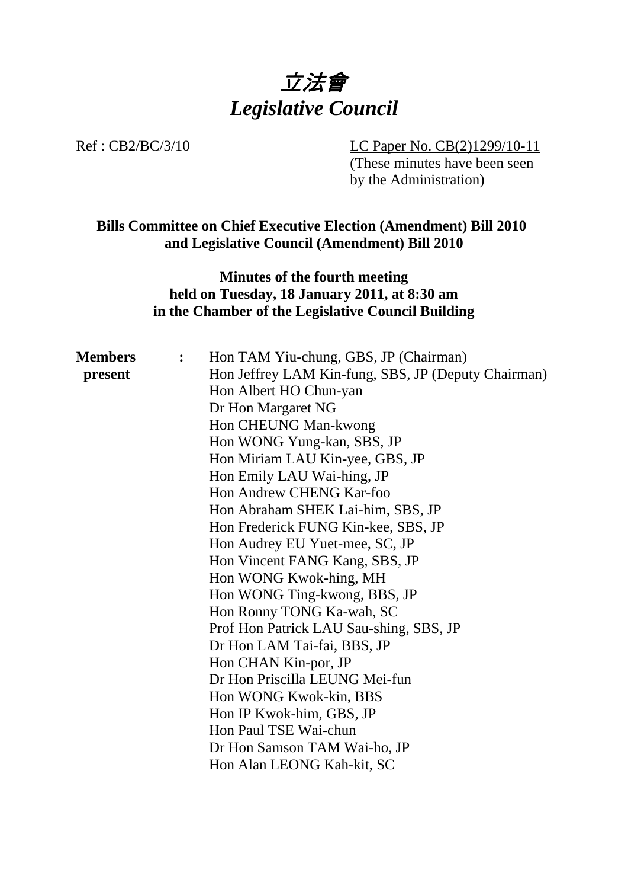

Ref : CB2/BC/3/10 LC Paper No. CB(2)1299/10-11

(These minutes have been seen by the Administration)

## **Bills Committee on Chief Executive Election (Amendment) Bill 2010 and Legislative Council (Amendment) Bill 2010**

# **Minutes of the fourth meeting held on Tuesday, 18 January 2011, at 8:30 am in the Chamber of the Legislative Council Building**

| <b>Members</b> | $\ddot{\cdot}$ | Hon TAM Yiu-chung, GBS, JP (Chairman)               |
|----------------|----------------|-----------------------------------------------------|
| present        |                | Hon Jeffrey LAM Kin-fung, SBS, JP (Deputy Chairman) |
|                |                | Hon Albert HO Chun-yan                              |
|                |                | Dr Hon Margaret NG                                  |
|                |                | Hon CHEUNG Man-kwong                                |
|                |                | Hon WONG Yung-kan, SBS, JP                          |
|                |                | Hon Miriam LAU Kin-yee, GBS, JP                     |
|                |                | Hon Emily LAU Wai-hing, JP                          |
|                |                | Hon Andrew CHENG Kar-foo                            |
|                |                | Hon Abraham SHEK Lai-him, SBS, JP                   |
|                |                | Hon Frederick FUNG Kin-kee, SBS, JP                 |
|                |                | Hon Audrey EU Yuet-mee, SC, JP                      |
|                |                | Hon Vincent FANG Kang, SBS, JP                      |
|                |                | Hon WONG Kwok-hing, MH                              |
|                |                | Hon WONG Ting-kwong, BBS, JP                        |
|                |                | Hon Ronny TONG Ka-wah, SC                           |
|                |                | Prof Hon Patrick LAU Sau-shing, SBS, JP             |
|                |                | Dr Hon LAM Tai-fai, BBS, JP                         |
|                |                | Hon CHAN Kin-por, JP                                |
|                |                | Dr Hon Priscilla LEUNG Mei-fun                      |
|                |                | Hon WONG Kwok-kin, BBS                              |
|                |                | Hon IP Kwok-him, GBS, JP                            |
|                |                | Hon Paul TSE Wai-chun                               |
|                |                | Dr Hon Samson TAM Wai-ho, JP                        |
|                |                | Hon Alan LEONG Kah-kit, SC                          |
|                |                |                                                     |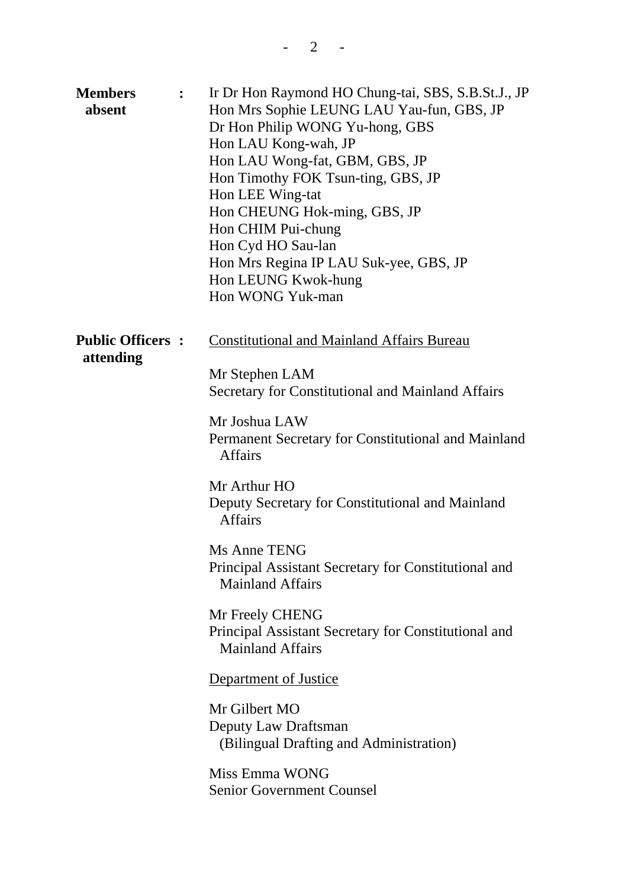| <b>Members</b><br>absent             | $\ddot{\cdot}$ | Ir Dr Hon Raymond HO Chung-tai, SBS, S.B.St.J., JP<br>Hon Mrs Sophie LEUNG LAU Yau-fun, GBS, JP<br>Dr Hon Philip WONG Yu-hong, GBS<br>Hon LAU Kong-wah, JP<br>Hon LAU Wong-fat, GBM, GBS, JP<br>Hon Timothy FOK Tsun-ting, GBS, JP<br>Hon LEE Wing-tat<br>Hon CHEUNG Hok-ming, GBS, JP<br>Hon CHIM Pui-chung<br>Hon Cyd HO Sau-lan<br>Hon Mrs Regina IP LAU Suk-yee, GBS, JP<br>Hon LEUNG Kwok-hung<br>Hon WONG Yuk-man                                                                                                                                                                                                                                                                     |
|--------------------------------------|----------------|---------------------------------------------------------------------------------------------------------------------------------------------------------------------------------------------------------------------------------------------------------------------------------------------------------------------------------------------------------------------------------------------------------------------------------------------------------------------------------------------------------------------------------------------------------------------------------------------------------------------------------------------------------------------------------------------|
| <b>Public Officers:</b><br>attending |                | <b>Constitutional and Mainland Affairs Bureau</b><br>Mr Stephen LAM<br>Secretary for Constitutional and Mainland Affairs<br>Mr Joshua LAW<br>Permanent Secretary for Constitutional and Mainland<br><b>Affairs</b><br>Mr Arthur HO<br>Deputy Secretary for Constitutional and Mainland<br><b>Affairs</b><br><b>Ms Anne TENG</b><br>Principal Assistant Secretary for Constitutional and<br><b>Mainland Affairs</b><br>Mr Freely CHENG<br>Principal Assistant Secretary for Constitutional and<br><b>Mainland Affairs</b><br>Department of Justice<br>Mr Gilbert MO<br>Deputy Law Draftsman<br>(Bilingual Drafting and Administration)<br>Miss Emma WONG<br><b>Senior Government Counsel</b> |
|                                      |                |                                                                                                                                                                                                                                                                                                                                                                                                                                                                                                                                                                                                                                                                                             |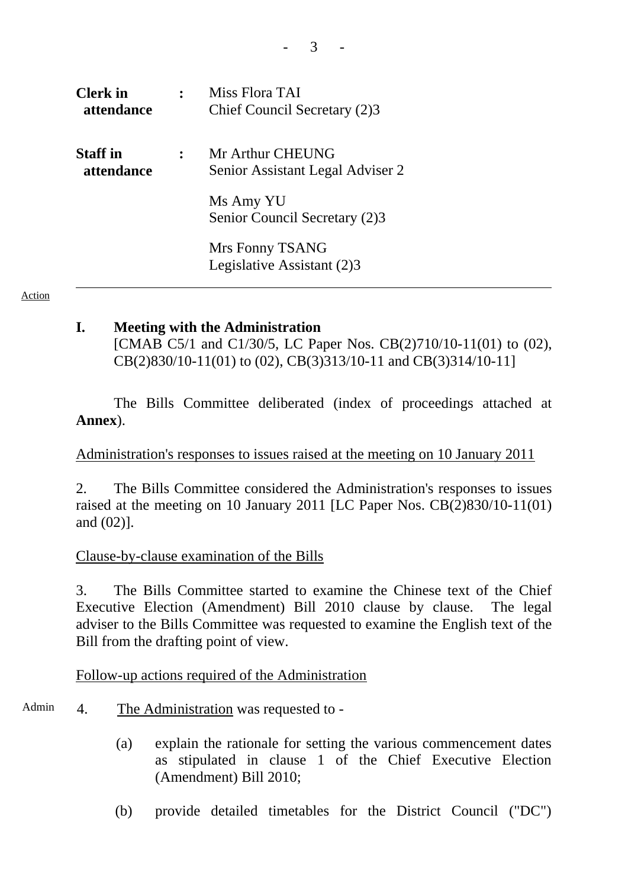| <b>Clerk</b> in<br>attendance        | Miss Flora TAI<br>Chief Council Secretary (2)3       |
|--------------------------------------|------------------------------------------------------|
| <b>Staff</b> in<br><i>attendance</i> | Mr Arthur CHEUNG<br>Senior Assistant Legal Adviser 2 |
|                                      | Ms Amy YU<br>Senior Council Secretary (2)3           |
|                                      | Mrs Fonny TSANG<br>Legislative Assistant (2)3        |

Action

### **I. Meeting with the Administration**

[CMAB C5/1 and C1/30/5, LC Paper Nos. CB(2)710/10-11(01) to (02), CB(2)830/10-11(01) to (02), CB(3)313/10-11 and CB(3)314/10-11]

The Bills Committee deliberated (index of proceedings attached at **Annex**).

### Administration's responses to issues raised at the meeting on 10 January 2011

2. The Bills Committee considered the Administration's responses to issues raised at the meeting on 10 January 2011 [LC Paper Nos. CB(2)830/10-11(01) and (02)].

### Clause-by-clause examination of the Bills

3. The Bills Committee started to examine the Chinese text of the Chief Executive Election (Amendment) Bill 2010 clause by clause. The legal adviser to the Bills Committee was requested to examine the English text of the Bill from the drafting point of view.

## Follow-up actions required of the Administration

- Admin 4. The Administration was requested to -
	- (a) explain the rationale for setting the various commencement dates as stipulated in clause 1 of the Chief Executive Election (Amendment) Bill 2010;
	- (b) provide detailed timetables for the District Council ("DC")

- 3 -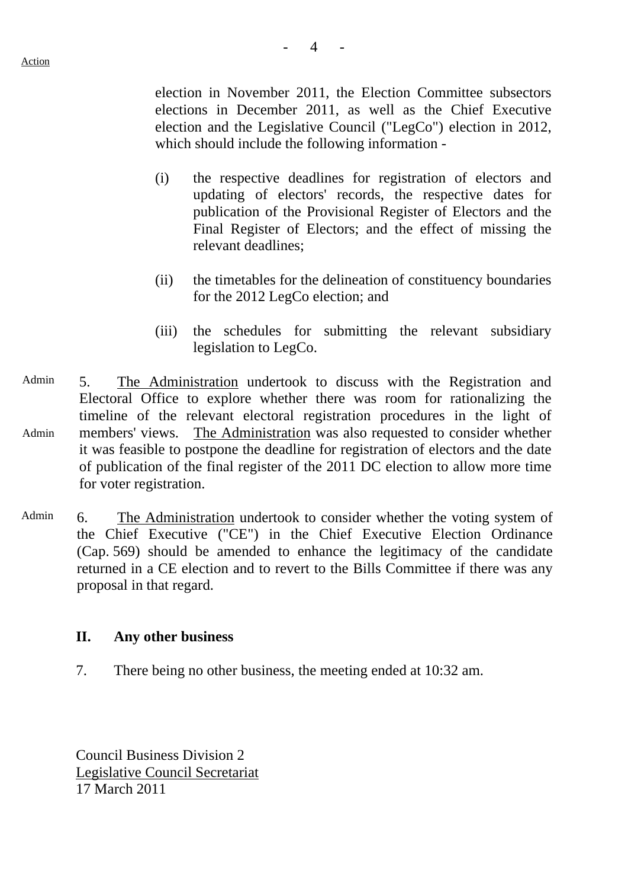election in November 2011, the Election Committee subsectors elections in December 2011, as well as the Chief Executive election and the Legislative Council ("LegCo") election in 2012, which should include the following information -

- (i) the respective deadlines for registration of electors and updating of electors' records, the respective dates for publication of the Provisional Register of Electors and the Final Register of Electors; and the effect of missing the relevant deadlines;
- (ii) the timetables for the delineation of constituency boundaries for the 2012 LegCo election; and
- (iii) the schedules for submitting the relevant subsidiary legislation to LegCo.
- Admin Admin 5. The Administration undertook to discuss with the Registration and Electoral Office to explore whether there was room for rationalizing the timeline of the relevant electoral registration procedures in the light of members' views. The Administration was also requested to consider whether it was feasible to postpone the deadline for registration of electors and the date of publication of the final register of the 2011 DC election to allow more time for voter registration.
- Admin 6. The Administration undertook to consider whether the voting system of the Chief Executive ("CE") in the Chief Executive Election Ordinance (Cap. 569) should be amended to enhance the legitimacy of the candidate returned in a CE election and to revert to the Bills Committee if there was any proposal in that regard.

### **II. Any other business**

7. There being no other business, the meeting ended at 10:32 am.

Council Business Division 2 Legislative Council Secretariat 17 March 2011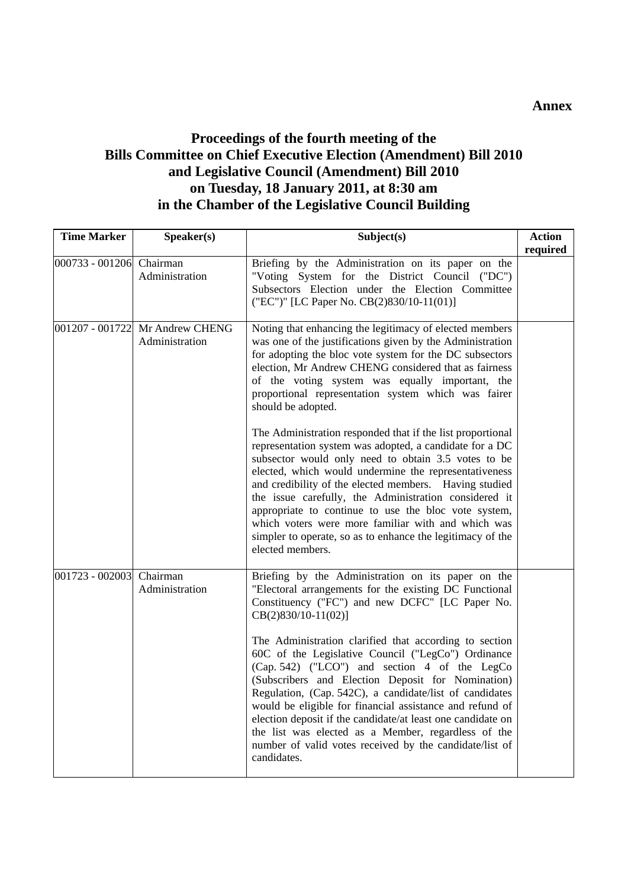## **Proceedings of the fourth meeting of the Bills Committee on Chief Executive Election (Amendment) Bill 2010 and Legislative Council (Amendment) Bill 2010 on Tuesday, 18 January 2011, at 8:30 am in the Chamber of the Legislative Council Building**

| <b>Time Marker</b>       | Speaker(s)                                        | Subject(s)                                                                                                                                                                                                                                                                                                                                                                                                                                                                                        | <b>Action</b> |
|--------------------------|---------------------------------------------------|---------------------------------------------------------------------------------------------------------------------------------------------------------------------------------------------------------------------------------------------------------------------------------------------------------------------------------------------------------------------------------------------------------------------------------------------------------------------------------------------------|---------------|
| 000733 - 001206 Chairman | Administration                                    | Briefing by the Administration on its paper on the<br>"Voting System for the District Council ("DC")<br>Subsectors Election under the Election Committee<br>("EC")" [LC Paper No. CB(2)830/10-11(01)]                                                                                                                                                                                                                                                                                             | required      |
|                          | 001207 - 001722 Mr Andrew CHENG<br>Administration | Noting that enhancing the legitimacy of elected members<br>was one of the justifications given by the Administration<br>for adopting the bloc vote system for the DC subsectors<br>election, Mr Andrew CHENG considered that as fairness<br>of the voting system was equally important, the<br>proportional representation system which was fairer<br>should be adopted.<br>The Administration responded that if the list proportional<br>representation system was adopted, a candidate for a DC |               |
|                          |                                                   | subsector would only need to obtain 3.5 votes to be<br>elected, which would undermine the representativeness<br>and credibility of the elected members. Having studied<br>the issue carefully, the Administration considered it<br>appropriate to continue to use the bloc vote system,<br>which voters were more familiar with and which was<br>simpler to operate, so as to enhance the legitimacy of the<br>elected members.                                                                   |               |
| 001723 - 002003 Chairman | Administration                                    | Briefing by the Administration on its paper on the<br>"Electoral arrangements for the existing DC Functional<br>Constituency ("FC") and new DCFC" [LC Paper No.<br>$CB(2)830/10-11(02)$ ]<br>The Administration clarified that according to section                                                                                                                                                                                                                                               |               |
|                          |                                                   | 60C of the Legislative Council ("LegCo") Ordinance<br>(Cap. 542) ("LCO") and section 4 of the LegCo<br>(Subscribers and Election Deposit for Nomination)<br>Regulation, (Cap. 542C), a candidate/list of candidates<br>would be eligible for financial assistance and refund of<br>election deposit if the candidate/at least one candidate on<br>the list was elected as a Member, regardless of the<br>number of valid votes received by the candidate/list of<br>candidates.                   |               |

#### **Annex**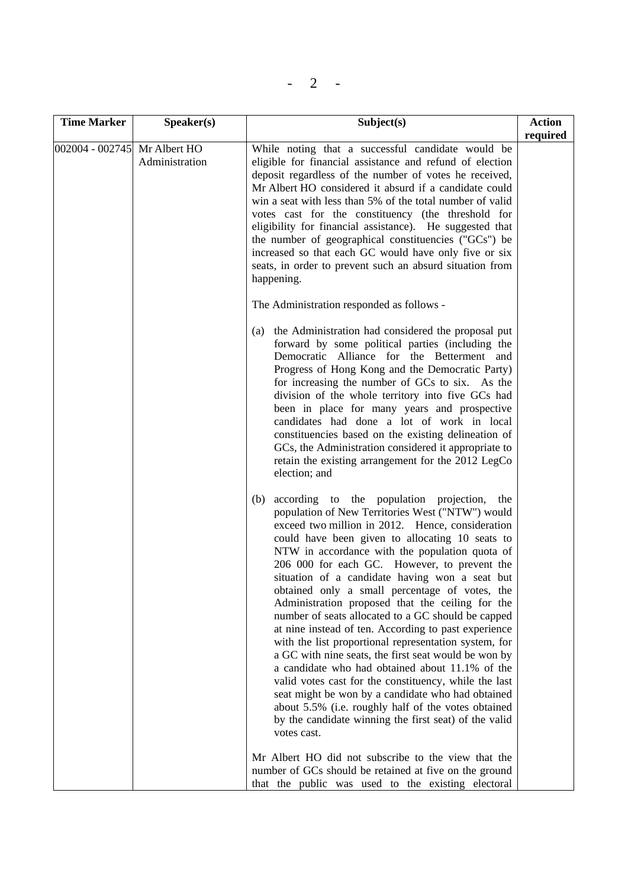| <b>Time Marker</b>           | Speaker(s)     | Subject(s)                                                                                                                                                                                                                                                                                                                                                                                                                                                                                                                                                                                                                                                                                                                                                                                                                                                                                                                                                                                                | <b>Action</b><br>required |
|------------------------------|----------------|-----------------------------------------------------------------------------------------------------------------------------------------------------------------------------------------------------------------------------------------------------------------------------------------------------------------------------------------------------------------------------------------------------------------------------------------------------------------------------------------------------------------------------------------------------------------------------------------------------------------------------------------------------------------------------------------------------------------------------------------------------------------------------------------------------------------------------------------------------------------------------------------------------------------------------------------------------------------------------------------------------------|---------------------------|
| 002004 - 002745 Mr Albert HO | Administration | While noting that a successful candidate would be<br>eligible for financial assistance and refund of election<br>deposit regardless of the number of votes he received,<br>Mr Albert HO considered it absurd if a candidate could<br>win a seat with less than 5% of the total number of valid<br>votes cast for the constituency (the threshold for<br>eligibility for financial assistance). He suggested that<br>the number of geographical constituencies ("GCs") be<br>increased so that each GC would have only five or six<br>seats, in order to prevent such an absurd situation from<br>happening.                                                                                                                                                                                                                                                                                                                                                                                               |                           |
|                              |                | The Administration responded as follows -<br>the Administration had considered the proposal put<br>(a)<br>forward by some political parties (including the<br>Democratic Alliance for the Betterment and<br>Progress of Hong Kong and the Democratic Party)<br>for increasing the number of GCs to six. As the<br>division of the whole territory into five GCs had<br>been in place for many years and prospective<br>candidates had done a lot of work in local<br>constituencies based on the existing delineation of<br>GCs, the Administration considered it appropriate to<br>retain the existing arrangement for the 2012 LegCo<br>election; and                                                                                                                                                                                                                                                                                                                                                   |                           |
|                              |                | according to the population projection,<br>(b)<br>the<br>population of New Territories West ("NTW") would<br>exceed two million in 2012. Hence, consideration<br>could have been given to allocating 10 seats to<br>NTW in accordance with the population quota of<br>206 000 for each GC. However, to prevent the<br>situation of a candidate having won a seat but<br>obtained only a small percentage of votes, the<br>Administration proposed that the ceiling for the<br>number of seats allocated to a GC should be capped<br>at nine instead of ten. According to past experience<br>with the list proportional representation system, for<br>a GC with nine seats, the first seat would be won by<br>a candidate who had obtained about 11.1% of the<br>valid votes cast for the constituency, while the last<br>seat might be won by a candidate who had obtained<br>about 5.5% (i.e. roughly half of the votes obtained<br>by the candidate winning the first seat) of the valid<br>votes cast. |                           |
|                              |                | Mr Albert HO did not subscribe to the view that the<br>number of GCs should be retained at five on the ground<br>that the public was used to the existing electoral                                                                                                                                                                                                                                                                                                                                                                                                                                                                                                                                                                                                                                                                                                                                                                                                                                       |                           |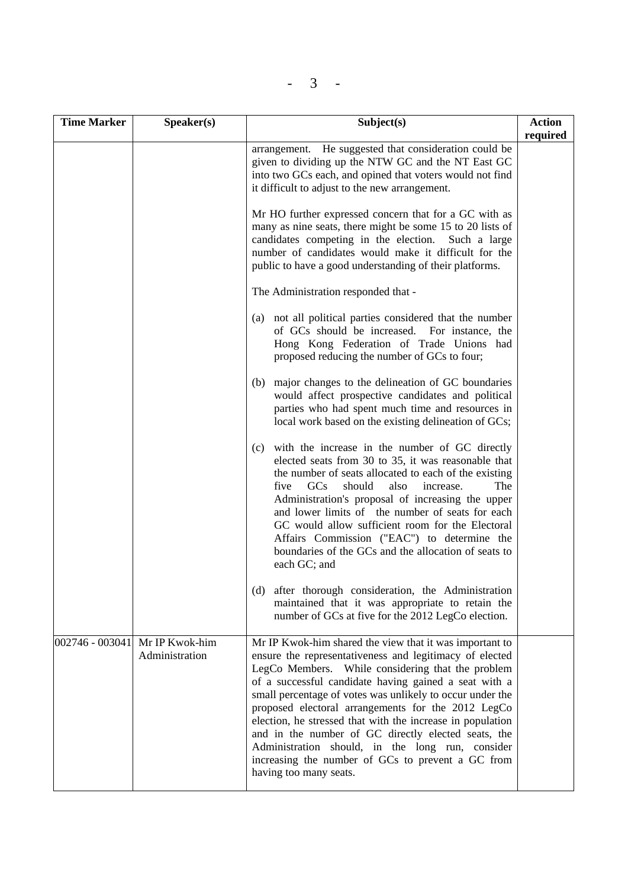| × |
|---|
|---|

| <b>Time Marker</b> | Speaker(s)                                       | Subject(s)                                                                                                                                                                                                                                                                                                                                                                                                                                                                                                                                                                                                  | <b>Action</b> |
|--------------------|--------------------------------------------------|-------------------------------------------------------------------------------------------------------------------------------------------------------------------------------------------------------------------------------------------------------------------------------------------------------------------------------------------------------------------------------------------------------------------------------------------------------------------------------------------------------------------------------------------------------------------------------------------------------------|---------------|
|                    |                                                  | arrangement. He suggested that consideration could be<br>given to dividing up the NTW GC and the NT East GC<br>into two GCs each, and opined that voters would not find<br>it difficult to adjust to the new arrangement.                                                                                                                                                                                                                                                                                                                                                                                   | required      |
|                    |                                                  | Mr HO further expressed concern that for a GC with as<br>many as nine seats, there might be some 15 to 20 lists of<br>candidates competing in the election.<br>Such a large<br>number of candidates would make it difficult for the<br>public to have a good understanding of their platforms.                                                                                                                                                                                                                                                                                                              |               |
|                    |                                                  | The Administration responded that -                                                                                                                                                                                                                                                                                                                                                                                                                                                                                                                                                                         |               |
|                    |                                                  | not all political parties considered that the number<br>(a)<br>of GCs should be increased. For instance, the<br>Hong Kong Federation of Trade Unions had<br>proposed reducing the number of GCs to four;                                                                                                                                                                                                                                                                                                                                                                                                    |               |
|                    |                                                  | major changes to the delineation of GC boundaries<br>(b)<br>would affect prospective candidates and political<br>parties who had spent much time and resources in<br>local work based on the existing delineation of GCs;                                                                                                                                                                                                                                                                                                                                                                                   |               |
|                    |                                                  | with the increase in the number of GC directly<br>(c)<br>elected seats from 30 to 35, it was reasonable that<br>the number of seats allocated to each of the existing<br>GCs<br>should<br>The<br>also<br>increase.<br>five<br>Administration's proposal of increasing the upper<br>and lower limits of the number of seats for each<br>GC would allow sufficient room for the Electoral<br>Affairs Commission ("EAC") to determine the<br>boundaries of the GCs and the allocation of seats to<br>each GC; and                                                                                              |               |
|                    |                                                  | (d) after thorough consideration, the Administration<br>maintained that it was appropriate to retain the<br>number of GCs at five for the 2012 LegCo election.                                                                                                                                                                                                                                                                                                                                                                                                                                              |               |
|                    | 002746 - 003041 Mr IP Kwok-him<br>Administration | Mr IP Kwok-him shared the view that it was important to<br>ensure the representativeness and legitimacy of elected<br>LegCo Members. While considering that the problem<br>of a successful candidate having gained a seat with a<br>small percentage of votes was unlikely to occur under the<br>proposed electoral arrangements for the 2012 LegCo<br>election, he stressed that with the increase in population<br>and in the number of GC directly elected seats, the<br>Administration should, in the long run, consider<br>increasing the number of GCs to prevent a GC from<br>having too many seats. |               |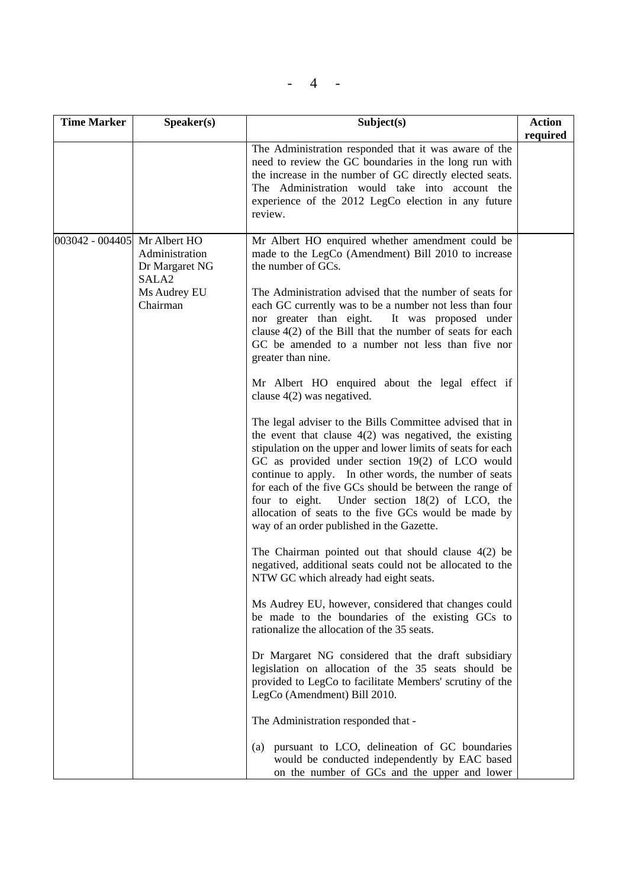$- 4 -$ 

| <b>Time Marker</b>           | S <sub>p</sub> e <sub>aker</sub> (s)                                              | Subject(s)                                                                                                                                                                                                                                                                                                                                                                                                                                                                                                                                                                                                                                                                                                                                                                                                                                                                                                                                                                                                                                                                                                                                                                                                                                                                                                                                                                                                                                                                                                                                                                                                                                                                                                                                                                                 | <b>Action</b> |
|------------------------------|-----------------------------------------------------------------------------------|--------------------------------------------------------------------------------------------------------------------------------------------------------------------------------------------------------------------------------------------------------------------------------------------------------------------------------------------------------------------------------------------------------------------------------------------------------------------------------------------------------------------------------------------------------------------------------------------------------------------------------------------------------------------------------------------------------------------------------------------------------------------------------------------------------------------------------------------------------------------------------------------------------------------------------------------------------------------------------------------------------------------------------------------------------------------------------------------------------------------------------------------------------------------------------------------------------------------------------------------------------------------------------------------------------------------------------------------------------------------------------------------------------------------------------------------------------------------------------------------------------------------------------------------------------------------------------------------------------------------------------------------------------------------------------------------------------------------------------------------------------------------------------------------|---------------|
|                              |                                                                                   | The Administration responded that it was aware of the<br>need to review the GC boundaries in the long run with<br>the increase in the number of GC directly elected seats.<br>The Administration would take into account the<br>experience of the 2012 LegCo election in any future<br>review.                                                                                                                                                                                                                                                                                                                                                                                                                                                                                                                                                                                                                                                                                                                                                                                                                                                                                                                                                                                                                                                                                                                                                                                                                                                                                                                                                                                                                                                                                             | required      |
| 003042 - 004405 Mr Albert HO | Administration<br>Dr Margaret NG<br>SALA <sub>2</sub><br>Ms Audrey EU<br>Chairman | Mr Albert HO enquired whether amendment could be<br>made to the LegCo (Amendment) Bill 2010 to increase<br>the number of GCs.<br>The Administration advised that the number of seats for<br>each GC currently was to be a number not less than four<br>nor greater than eight.<br>It was proposed under<br>clause $4(2)$ of the Bill that the number of seats for each<br>GC be amended to a number not less than five nor<br>greater than nine.<br>Mr Albert HO enquired about the legal effect if<br>clause $4(2)$ was negatived.<br>The legal adviser to the Bills Committee advised that in<br>the event that clause $4(2)$ was negatived, the existing<br>stipulation on the upper and lower limits of seats for each<br>GC as provided under section 19(2) of LCO would<br>continue to apply. In other words, the number of seats<br>for each of the five GCs should be between the range of<br>four to eight. Under section 18(2) of LCO, the<br>allocation of seats to the five GCs would be made by<br>way of an order published in the Gazette.<br>The Chairman pointed out that should clause $4(2)$ be<br>negatived, additional seats could not be allocated to the<br>NTW GC which already had eight seats.<br>Ms Audrey EU, however, considered that changes could<br>be made to the boundaries of the existing GCs to<br>rationalize the allocation of the 35 seats.<br>Dr Margaret NG considered that the draft subsidiary<br>legislation on allocation of the 35 seats should be<br>provided to LegCo to facilitate Members' scrutiny of the<br>LegCo (Amendment) Bill 2010.<br>The Administration responded that -<br>(a) pursuant to LCO, delineation of GC boundaries<br>would be conducted independently by EAC based<br>on the number of GCs and the upper and lower |               |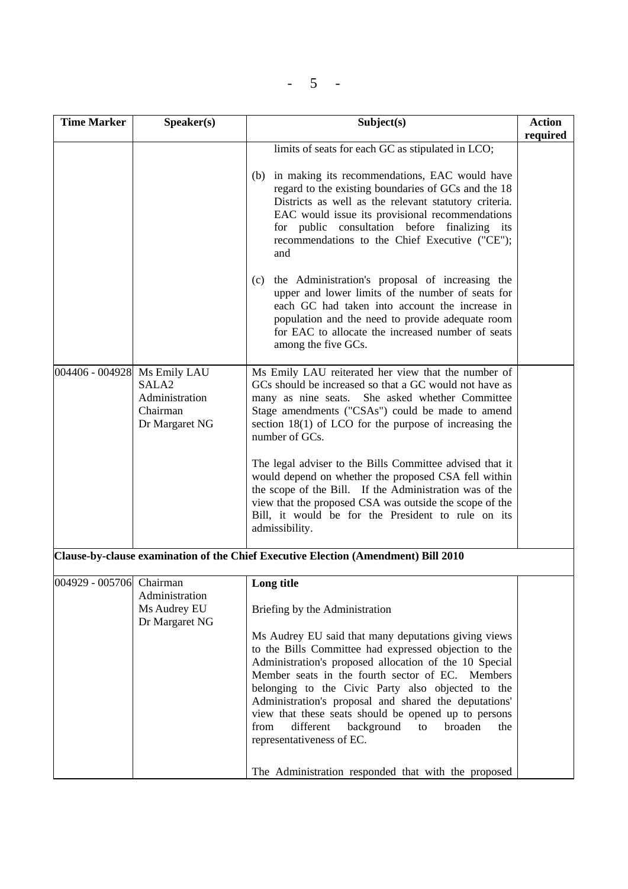$- 5 -$ 

| <b>Time Marker</b>           | Speaker(s)                                            | Subject(s)                                                                                                                                                                                                                                                                                                                                                                                                                                                                                                                                       | <b>Action</b> |
|------------------------------|-------------------------------------------------------|--------------------------------------------------------------------------------------------------------------------------------------------------------------------------------------------------------------------------------------------------------------------------------------------------------------------------------------------------------------------------------------------------------------------------------------------------------------------------------------------------------------------------------------------------|---------------|
|                              |                                                       |                                                                                                                                                                                                                                                                                                                                                                                                                                                                                                                                                  | required      |
|                              |                                                       | limits of seats for each GC as stipulated in LCO;                                                                                                                                                                                                                                                                                                                                                                                                                                                                                                |               |
|                              |                                                       | (b) in making its recommendations, EAC would have<br>regard to the existing boundaries of GCs and the 18<br>Districts as well as the relevant statutory criteria.<br>EAC would issue its provisional recommendations<br>for public consultation before finalizing its<br>recommendations to the Chief Executive ("CE");<br>and                                                                                                                                                                                                                   |               |
|                              |                                                       | the Administration's proposal of increasing the<br>(c)<br>upper and lower limits of the number of seats for<br>each GC had taken into account the increase in<br>population and the need to provide adequate room<br>for EAC to allocate the increased number of seats<br>among the five GCs.                                                                                                                                                                                                                                                    |               |
| 004406 - 004928 Ms Emily LAU | SALA2<br>Administration<br>Chairman<br>Dr Margaret NG | Ms Emily LAU reiterated her view that the number of<br>GCs should be increased so that a GC would not have as<br>many as nine seats.<br>She asked whether Committee<br>Stage amendments ("CSAs") could be made to amend<br>section $18(1)$ of LCO for the purpose of increasing the<br>number of GCs.                                                                                                                                                                                                                                            |               |
|                              |                                                       | The legal adviser to the Bills Committee advised that it<br>would depend on whether the proposed CSA fell within<br>the scope of the Bill. If the Administration was of the<br>view that the proposed CSA was outside the scope of the<br>Bill, it would be for the President to rule on its<br>admissibility.                                                                                                                                                                                                                                   |               |
|                              |                                                       | Clause-by-clause examination of the Chief Executive Election (Amendment) Bill 2010                                                                                                                                                                                                                                                                                                                                                                                                                                                               |               |
| 004929 - 005706 Chairman     | Administration<br>Ms Audrey EU                        | Long title<br>Briefing by the Administration                                                                                                                                                                                                                                                                                                                                                                                                                                                                                                     |               |
|                              | Dr Margaret NG                                        | Ms Audrey EU said that many deputations giving views<br>to the Bills Committee had expressed objection to the<br>Administration's proposed allocation of the 10 Special<br>Member seats in the fourth sector of EC. Members<br>belonging to the Civic Party also objected to the<br>Administration's proposal and shared the deputations'<br>view that these seats should be opened up to persons<br>different<br>background<br>broaden<br>from<br>to<br>the<br>representativeness of EC.<br>The Administration responded that with the proposed |               |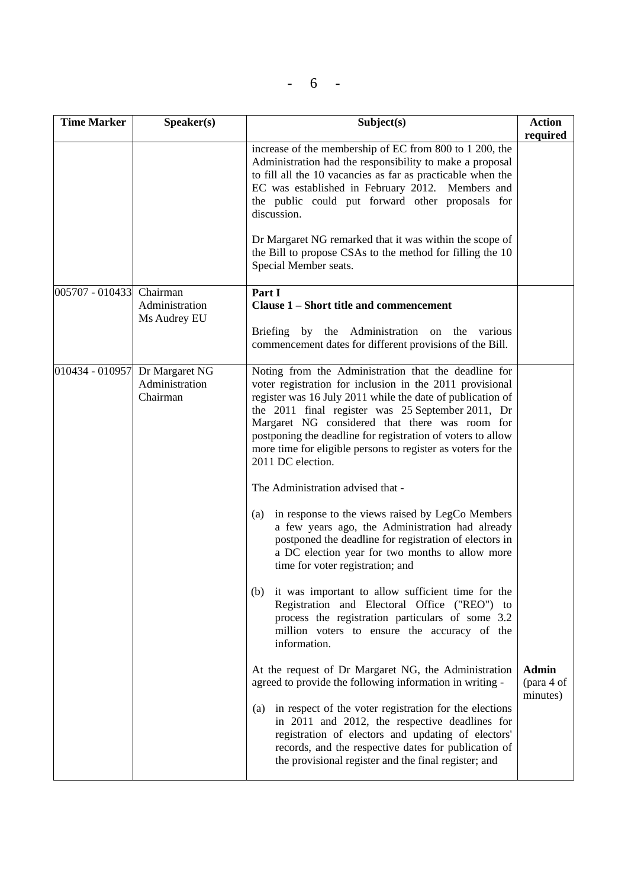$- 6 -$ 

| <b>Time Marker</b>       | Speaker(s)                                                   | Subject(s)                                                                                                                                                                                                                                                                                                                                                                                                                                                 | <b>Action</b><br>required              |
|--------------------------|--------------------------------------------------------------|------------------------------------------------------------------------------------------------------------------------------------------------------------------------------------------------------------------------------------------------------------------------------------------------------------------------------------------------------------------------------------------------------------------------------------------------------------|----------------------------------------|
|                          |                                                              | increase of the membership of EC from 800 to 1 200, the<br>Administration had the responsibility to make a proposal<br>to fill all the 10 vacancies as far as practicable when the<br>EC was established in February 2012. Members and<br>the public could put forward other proposals for<br>discussion.<br>Dr Margaret NG remarked that it was within the scope of<br>the Bill to propose CSAs to the method for filling the 10<br>Special Member seats. |                                        |
| 005707 - 010433 Chairman |                                                              | Part I                                                                                                                                                                                                                                                                                                                                                                                                                                                     |                                        |
|                          | Administration                                               | Clause 1 – Short title and commencement                                                                                                                                                                                                                                                                                                                                                                                                                    |                                        |
|                          | Ms Audrey EU                                                 | Briefing by the Administration on the various<br>commencement dates for different provisions of the Bill.                                                                                                                                                                                                                                                                                                                                                  |                                        |
|                          | 010434 - 010957 Dr Margaret NG<br>Administration<br>Chairman | Noting from the Administration that the deadline for<br>voter registration for inclusion in the 2011 provisional<br>register was 16 July 2011 while the date of publication of<br>the 2011 final register was 25 September 2011, Dr<br>Margaret NG considered that there was room for<br>postponing the deadline for registration of voters to allow<br>more time for eligible persons to register as voters for the<br>2011 DC election.                  |                                        |
|                          |                                                              | The Administration advised that -                                                                                                                                                                                                                                                                                                                                                                                                                          |                                        |
|                          |                                                              | in response to the views raised by LegCo Members<br>(a)<br>a few years ago, the Administration had already<br>postponed the deadline for registration of electors in<br>a DC election year for two months to allow more<br>time for voter registration; and                                                                                                                                                                                                |                                        |
|                          |                                                              | it was important to allow sufficient time for the<br>(b)<br>Registration and Electoral Office ("REO") to<br>process the registration particulars of some 3.2<br>million voters to ensure the accuracy of the<br>information.                                                                                                                                                                                                                               |                                        |
|                          |                                                              | At the request of Dr Margaret NG, the Administration<br>agreed to provide the following information in writing -                                                                                                                                                                                                                                                                                                                                           | <b>Admin</b><br>(para 4 of<br>minutes) |
|                          |                                                              | in respect of the voter registration for the elections<br>(a)<br>in 2011 and 2012, the respective deadlines for<br>registration of electors and updating of electors'<br>records, and the respective dates for publication of<br>the provisional register and the final register; and                                                                                                                                                                      |                                        |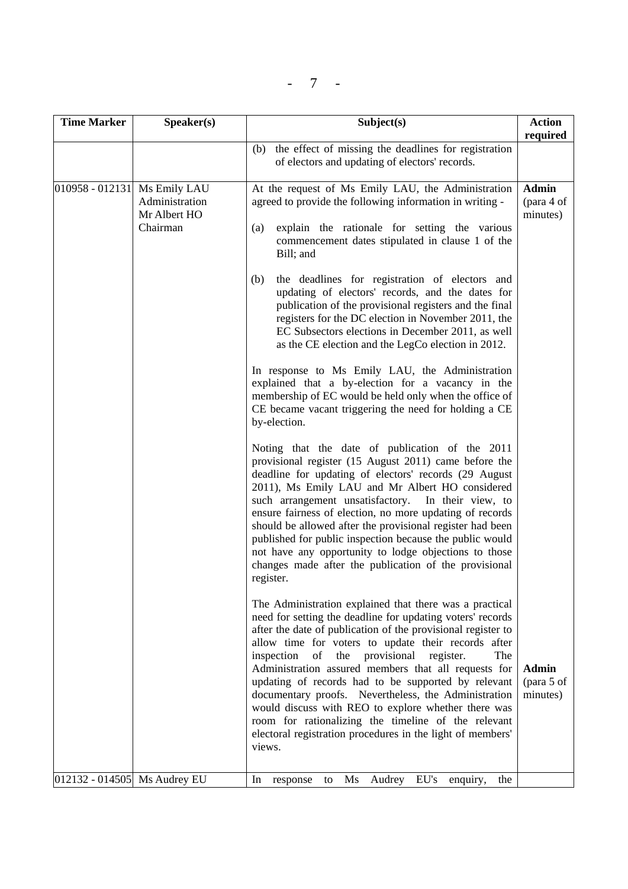$- 7 -$ 

| <b>Time Marker</b>           | Speaker(s)                                 | Subject(s)                                                                                                                                                                                                                                                                                                                                                                                                                                                                                                                                                                                                                                                                                                                                                                                                  | <b>Action</b>                          |
|------------------------------|--------------------------------------------|-------------------------------------------------------------------------------------------------------------------------------------------------------------------------------------------------------------------------------------------------------------------------------------------------------------------------------------------------------------------------------------------------------------------------------------------------------------------------------------------------------------------------------------------------------------------------------------------------------------------------------------------------------------------------------------------------------------------------------------------------------------------------------------------------------------|----------------------------------------|
|                              |                                            | (b) the effect of missing the deadlines for registration<br>of electors and updating of electors' records.                                                                                                                                                                                                                                                                                                                                                                                                                                                                                                                                                                                                                                                                                                  | required                               |
| 010958 - 012131 Ms Emily LAU | Administration<br>Mr Albert HO<br>Chairman | At the request of Ms Emily LAU, the Administration<br>agreed to provide the following information in writing -<br>explain the rationale for setting the various<br>(a)<br>commencement dates stipulated in clause 1 of the<br>Bill; and<br>the deadlines for registration of electors and<br>(b)<br>updating of electors' records, and the dates for<br>publication of the provisional registers and the final<br>registers for the DC election in November 2011, the<br>EC Subsectors elections in December 2011, as well<br>as the CE election and the LegCo election in 2012.<br>In response to Ms Emily LAU, the Administration<br>explained that a by-election for a vacancy in the<br>membership of EC would be held only when the office of<br>CE became vacant triggering the need for holding a CE | <b>Admin</b><br>(para 4 of<br>minutes) |
|                              |                                            | by-election.<br>Noting that the date of publication of the 2011<br>provisional register (15 August 2011) came before the<br>deadline for updating of electors' records (29 August<br>2011), Ms Emily LAU and Mr Albert HO considered<br>such arrangement unsatisfactory.<br>In their view, to<br>ensure fairness of election, no more updating of records<br>should be allowed after the provisional register had been<br>published for public inspection because the public would<br>not have any opportunity to lodge objections to those<br>changes made after the publication of the provisional<br>register.                                                                                                                                                                                           |                                        |
|                              |                                            | The Administration explained that there was a practical<br>need for setting the deadline for updating voters' records<br>after the date of publication of the provisional register to<br>allow time for voters to update their records after<br>provisional<br>inspection<br>of<br>the<br>register.<br>The<br>Administration assured members that all requests for<br>updating of records had to be supported by relevant<br>documentary proofs. Nevertheless, the Administration<br>would discuss with REO to explore whether there was<br>room for rationalizing the timeline of the relevant<br>electoral registration procedures in the light of members'<br>views.                                                                                                                                     | <b>Admin</b><br>(para 5 of<br>minutes) |
| 012132 - 014505 Ms Audrey EU |                                            | EU's<br>Ms<br>Audrey<br>In<br>response<br>enquiry,<br>the<br>to                                                                                                                                                                                                                                                                                                                                                                                                                                                                                                                                                                                                                                                                                                                                             |                                        |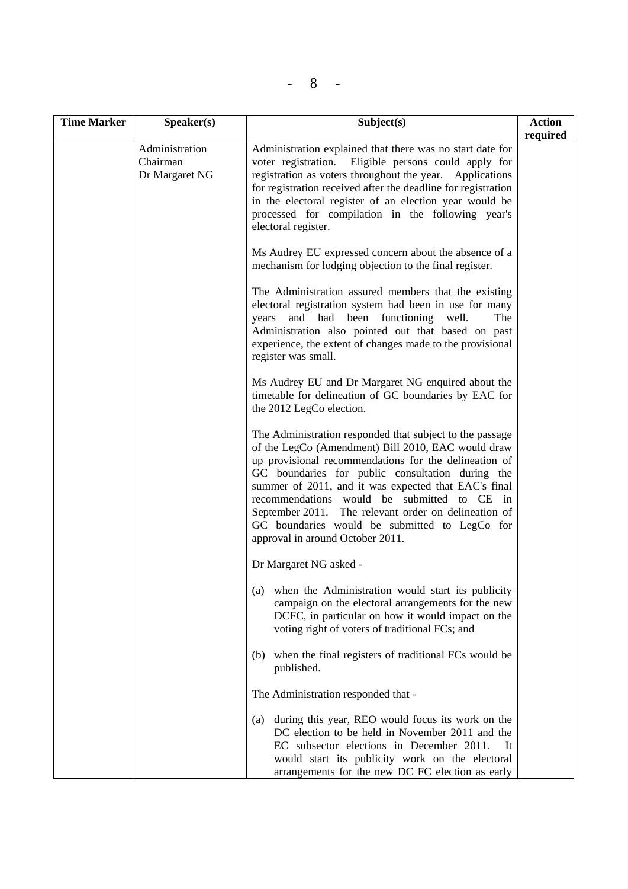| <b>Time Marker</b> | Speaker(s)                                   | Subject(s)                                                                                                                                                                                                                                                                                                                                                                                                                                                                         | <b>Action</b><br>required |
|--------------------|----------------------------------------------|------------------------------------------------------------------------------------------------------------------------------------------------------------------------------------------------------------------------------------------------------------------------------------------------------------------------------------------------------------------------------------------------------------------------------------------------------------------------------------|---------------------------|
|                    | Administration<br>Chairman<br>Dr Margaret NG | Administration explained that there was no start date for<br>voter registration. Eligible persons could apply for<br>registration as voters throughout the year. Applications<br>for registration received after the deadline for registration<br>in the electoral register of an election year would be<br>processed for compilation in the following year's<br>electoral register.                                                                                               |                           |
|                    |                                              | Ms Audrey EU expressed concern about the absence of a<br>mechanism for lodging objection to the final register.                                                                                                                                                                                                                                                                                                                                                                    |                           |
|                    |                                              | The Administration assured members that the existing<br>electoral registration system had been in use for many<br>and had been functioning well.<br>The<br>years<br>Administration also pointed out that based on past<br>experience, the extent of changes made to the provisional<br>register was small.                                                                                                                                                                         |                           |
|                    |                                              | Ms Audrey EU and Dr Margaret NG enquired about the<br>timetable for delineation of GC boundaries by EAC for<br>the 2012 LegCo election.                                                                                                                                                                                                                                                                                                                                            |                           |
|                    |                                              | The Administration responded that subject to the passage<br>of the LegCo (Amendment) Bill 2010, EAC would draw<br>up provisional recommendations for the delineation of<br>GC boundaries for public consultation during the<br>summer of 2011, and it was expected that EAC's final<br>recommendations would be submitted to CE<br>in<br>September 2011. The relevant order on delineation of<br>GC boundaries would be submitted to LegCo for<br>approval in around October 2011. |                           |
|                    |                                              | Dr Margaret NG asked -                                                                                                                                                                                                                                                                                                                                                                                                                                                             |                           |
|                    |                                              | when the Administration would start its publicity<br>(a)<br>campaign on the electoral arrangements for the new<br>DCFC, in particular on how it would impact on the<br>voting right of voters of traditional FCs; and                                                                                                                                                                                                                                                              |                           |
|                    |                                              | (b) when the final registers of traditional FCs would be<br>published.                                                                                                                                                                                                                                                                                                                                                                                                             |                           |
|                    |                                              | The Administration responded that -                                                                                                                                                                                                                                                                                                                                                                                                                                                |                           |
|                    |                                              | during this year, REO would focus its work on the<br>(a)<br>DC election to be held in November 2011 and the<br>EC subsector elections in December 2011.<br>It<br>would start its publicity work on the electoral<br>arrangements for the new DC FC election as early                                                                                                                                                                                                               |                           |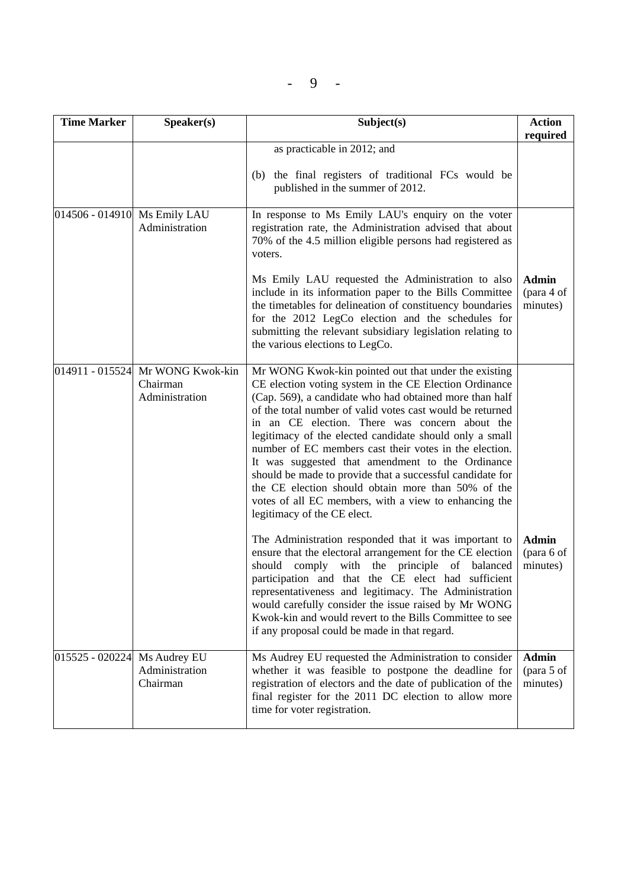| <b>Time Marker</b>           | Speaker(s)                                                     | Subject(s)                                                                                                                                                                                                                                                                                                                                                                                                                                                                                                                                                                                                                                                                   | <b>Action</b><br>required              |
|------------------------------|----------------------------------------------------------------|------------------------------------------------------------------------------------------------------------------------------------------------------------------------------------------------------------------------------------------------------------------------------------------------------------------------------------------------------------------------------------------------------------------------------------------------------------------------------------------------------------------------------------------------------------------------------------------------------------------------------------------------------------------------------|----------------------------------------|
|                              |                                                                | as practicable in 2012; and                                                                                                                                                                                                                                                                                                                                                                                                                                                                                                                                                                                                                                                  |                                        |
|                              |                                                                | the final registers of traditional FCs would be<br>(b)<br>published in the summer of 2012.                                                                                                                                                                                                                                                                                                                                                                                                                                                                                                                                                                                   |                                        |
| 014506 - 014910 Ms Emily LAU | Administration                                                 | In response to Ms Emily LAU's enquiry on the voter<br>registration rate, the Administration advised that about<br>70% of the 4.5 million eligible persons had registered as<br>voters.                                                                                                                                                                                                                                                                                                                                                                                                                                                                                       |                                        |
|                              |                                                                | Ms Emily LAU requested the Administration to also<br>include in its information paper to the Bills Committee<br>the timetables for delineation of constituency boundaries<br>for the 2012 LegCo election and the schedules for<br>submitting the relevant subsidiary legislation relating to<br>the various elections to LegCo.                                                                                                                                                                                                                                                                                                                                              | <b>Admin</b><br>(para 4 of<br>minutes) |
|                              | 014911 - 015524 Mr WONG Kwok-kin<br>Chairman<br>Administration | Mr WONG Kwok-kin pointed out that under the existing<br>CE election voting system in the CE Election Ordinance<br>(Cap. 569), a candidate who had obtained more than half<br>of the total number of valid votes cast would be returned<br>in an CE election. There was concern about the<br>legitimacy of the elected candidate should only a small<br>number of EC members cast their votes in the election.<br>It was suggested that amendment to the Ordinance<br>should be made to provide that a successful candidate for<br>the CE election should obtain more than 50% of the<br>votes of all EC members, with a view to enhancing the<br>legitimacy of the CE elect. |                                        |
|                              |                                                                | The Administration responded that it was important to<br>ensure that the electoral arrangement for the CE election<br>comply with the principle of balanced<br>should<br>participation and that the CE elect had sufficient<br>representativeness and legitimacy. The Administration<br>would carefully consider the issue raised by Mr WONG<br>Kwok-kin and would revert to the Bills Committee to see<br>if any proposal could be made in that regard.                                                                                                                                                                                                                     | <b>Admin</b><br>(para 6 of<br>minutes) |
| 015525 - 020224 Ms Audrey EU | Administration<br>Chairman                                     | Ms Audrey EU requested the Administration to consider<br>whether it was feasible to postpone the deadline for<br>registration of electors and the date of publication of the<br>final register for the 2011 DC election to allow more<br>time for voter registration.                                                                                                                                                                                                                                                                                                                                                                                                        | <b>Admin</b><br>(para 5 of<br>minutes) |